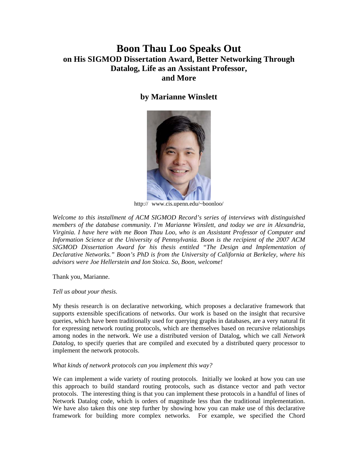# **Boon Thau Loo Speaks Out on His SIGMOD Dissertation Award, Better Networking Through Datalog, Life as an Assistant Professor, and More**

# **by Marianne Winslett**



http:// www.cis.upenn.edu/~boonloo/

*Welcome to this installment of ACM SIGMOD Record's series of interviews with distinguished members of the database community. I'm Marianne Winslett, and today we are in Alexandria, Virginia. I have here with me Boon Thau Loo, who is an Assistant Professor of Computer and Information Science at the University of Pennsylvania. Boon is the recipient of the 2007 ACM SIGMOD Dissertation Award for his thesis entitled "The Design and Implementation of Declarative Networks." Boon's PhD is from the University of California at Berkeley, where his advisors were Joe Hellerstein and Ion Stoica. So, Boon, welcome!* 

Thank you, Marianne.

#### *Tell us about your thesis.*

My thesis research is on declarative networking, which proposes a declarative framework that supports extensible specifications of networks. Our work is based on the insight that recursive queries, which have been traditionally used for querying graphs in databases, are a very natural fit for expressing network routing protocols, which are themselves based on recursive relationships among nodes in the network. We use a distributed version of Datalog, which we call *Network Datalog*, to specify queries that are compiled and executed by a distributed query processor to implement the network protocols.

#### *What kinds of network protocols can you implement this way?*

We can implement a wide variety of routing protocols. Initially we looked at how you can use this approach to build standard routing protocols, such as distance vector and path vector protocols. The interesting thing is that you can implement these protocols in a handful of lines of Network Datalog code, which is orders of magnitude less than the traditional implementation. We have also taken this one step further by showing how you can make use of this declarative framework for building more complex networks. For example, we specified the Chord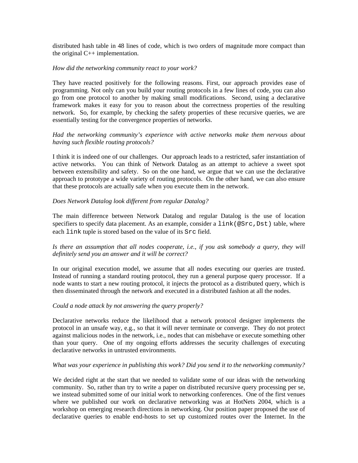distributed hash table in 48 lines of code, which is two orders of magnitude more compact than the original C++ implementation.

#### *How did the networking community react to your work?*

They have reacted positively for the following reasons. First, our approach provides ease of programming. Not only can you build your routing protocols in a few lines of code, you can also go from one protocol to another by making small modifications. Second, using a declarative framework makes it easy for you to reason about the correctness properties of the resulting network. So, for example, by checking the safety properties of these recursive queries, we are essentially testing for the convergence properties of networks.

# *Had the networking community's experience with active networks make them nervous about having such flexible routing protocols?*

I think it is indeed one of our challenges. Our approach leads to a restricted, safer instantiation of active networks. You can think of Network Datalog as an attempt to achieve a sweet spot between extensibility and safety. So on the one hand, we argue that we can use the declarative approach to prototype a wide variety of routing protocols. On the other hand, we can also ensure that these protocols are actually safe when you execute them in the network.

# *Does Network Datalog look different from regular Datalog?*

The main difference between Network Datalog and regular Datalog is the use of location specifiers to specify data placement. As an example, consider a  $link(\&Src,Dst)$  table, where each link tuple is stored based on the value of its Src field.

# *Is there an assumption that all nodes cooperate, i.e., if you ask somebody a query, they will definitely send you an answer and it will be correct?*

In our original execution model, we assume that all nodes executing our queries are trusted. Instead of running a standard routing protocol, they run a general purpose query processor. If a node wants to start a new routing protocol, it injects the protocol as a distributed query, which is then disseminated through the network and executed in a distributed fashion at all the nodes.

# *Could a node attack by not answering the query properly?*

Declarative networks reduce the likelihood that a network protocol designer implements the protocol in an unsafe way, e.g., so that it will never terminate or converge. They do not protect against malicious nodes in the network, i.e., nodes that can misbehave or execute something other than your query. One of my ongoing efforts addresses the security challenges of executing declarative networks in untrusted environments.

#### *What was your experience in publishing this work? Did you send it to the networking community?*

We decided right at the start that we needed to validate some of our ideas with the networking community. So, rather than try to write a paper on distributed recursive query processing per se, we instead submitted some of our initial work to networking conferences.One of the first venues where we published our work on declarative networking was at HotNets 2004, which is a workshop on emerging research directions in networking. Our position paper proposed the use of declarative queries to enable end-hosts to set up customized routes over the Internet. In the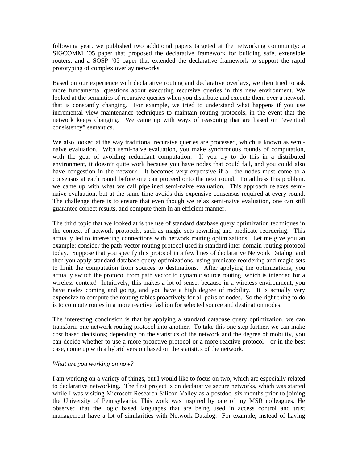following year, we published two additional papers targeted at the networking community: a SIGCOMM '05 paper that proposed the declarative framework for building safe, extensible routers, and a SOSP '05 paper that extended the declarative framework to support the rapid prototyping of complex overlay networks.

Based on our experience with declarative routing and declarative overlays, we then tried to ask more fundamental questions about executing recursive queries in this new environment. We looked at the semantics of recursive queries when you distribute and execute them over a network that is constantly changing. For example, we tried to understand what happens if you use incremental view maintenance techniques to maintain routing protocols, in the event that the network keeps changing. We came up with ways of reasoning that are based on "eventual consistency" semantics.

We also looked at the way traditional recursive queries are processed, which is known as seminaive evaluation. With semi-naive evaluation, you make synchronous rounds of computation, with the goal of avoiding redundant computation. If you try to do this in a distributed environment, it doesn't quite work because you have nodes that could fail, and you could also have congestion in the network. It becomes very expensive if all the nodes must come to a consensus at each round before one can proceed onto the next round. To address this problem, we came up with what we call pipelined semi-naive evaluation. This approach relaxes seminaive evaluation, but at the same time avoids this expensive consensus required at every round. The challenge there is to ensure that even though we relax semi-naive evaluation, one can still guarantee correct results, and compute them in an efficient manner.

The third topic that we looked at is the use of standard database query optimization techniques in the context of network protocols, such as magic sets rewriting and predicate reordering. This actually led to interesting connections with network routing optimizations. Let me give you an example: consider the path-vector routing protocol used in standard inter-domain routing protocol today. Suppose that you specify this protocol in a few lines of declarative Network Datalog, and then you apply standard database query optimizations, using predicate reordering and magic sets to limit the computation from sources to destinations. After applying the optimizations, you actually switch the protocol from path vector to dynamic source routing, which is intended for a wireless context! Intuitively, this makes a lot of sense, because in a wireless environment, you have nodes coming and going, and you have a high degree of mobility. It is actually very expensive to compute the routing tables proactively for all pairs of nodes. So the right thing to do is to compute routes in a more reactive fashion for selected source and destination nodes.

The interesting conclusion is that by applying a standard database query optimization, we can transform one network routing protocol into another. To take this one step further, we can make cost based decisions; depending on the statistics of the network and the degree of mobility, you can decide whether to use a more proactive protocol or a more reactive protocol---or in the best case, come up with a hybrid version based on the statistics of the network.

#### *What are you working on now?*

I am working on a variety of things, but I would like to focus on two, which are especially related to declarative networking. The first project is on declarative secure networks, which was started while I was visiting Microsoft Research Silicon Valley as a postdoc, six months prior to joining the University of Pennsylvania. This work was inspired by one of my MSR colleagues. He observed that the logic based languages that are being used in access control and trust management have a lot of similarities with Network Datalog. For example, instead of having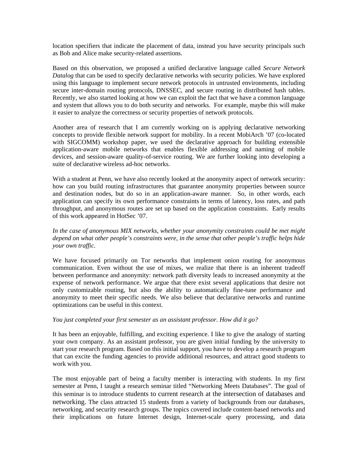location specifiers that indicate the placement of data, instead you have security principals such as Bob and Alice make security-related assertions.

Based on this observation, we proposed a unified declarative language called *Secure Network Datalog* that can be used to specify declarative networks with security policies. We have explored using this language to implement secure network protocols in untrusted environments, including secure inter-domain routing protocols, DNSSEC, and secure routing in distributed hash tables. Recently, we also started looking at how we can exploit the fact that we have a common language and system that allows you to do both security and networks. For example, maybe this will make it easier to analyze the correctness or security properties of network protocols.

Another area of research that I am currently working on is applying declarative networking concepts to provide flexible network support for mobility. In a recent MobiArch '07 (co-located with SIGCOMM) workshop paper, we used the declarative approach for building extensible application-aware mobile networks that enables flexible addressing and naming of mobile devices, and session-aware quality-of-service routing. We are further looking into developing a suite of declarative wireless ad-hoc networks.

With a student at Penn, we have also recently looked at the anonymity aspect of network security: how can you build routing infrastructures that guarantee anonymity properties between source and destination nodes, but do so in an application-aware manner. So, in other words, each application can specify its own performance constraints in terms of latency, loss rates, and path throughput, and anonymous routes are set up based on the application constraints. Early results of this work appeared in HotSec '07.

# *In the case of anonymous MIX networks, whether your anonymity constraints could be met might depend on what other people's constraints were, in the sense that other people's traffic helps hide your own traffic.*

We have focused primarily on Tor networks that implement onion routing for anonymous communication. Even without the use of mixes, we realize that there is an inherent tradeoff between performance and anonymity: network path diversity leads to increased anonymity at the expense of network performance. We argue that there exist several applications that desire not only customizable routing, but also the ability to automatically fine-tune performance and anonymity to meet their specific needs. We also believe that declarative networks and runtime optimizations can be useful in this context.

# *You just completed your first semester as an assistant professor. How did it go?*

It has been an enjoyable, fulfilling, and exciting experience. I like to give the analogy of starting your own company. As an assistant professor, you are given initial funding by the university to start your research program. Based on this initial support, you have to develop a research program that can excite the funding agencies to provide additional resources, and attract good students to work with you.

The most enjoyable part of being a faculty member is interacting with students. In my first semester at Penn, I taught a research seminar titled "Networking Meets Databases". The goal of this seminar is to introduce students to current research at the intersection of databases and networking. The class attracted 15 students from a variety of backgrounds from our databases, networking, and security research groups. The topics covered include content-based networks and their implications on future Internet design, Internet-scale query processing, and data